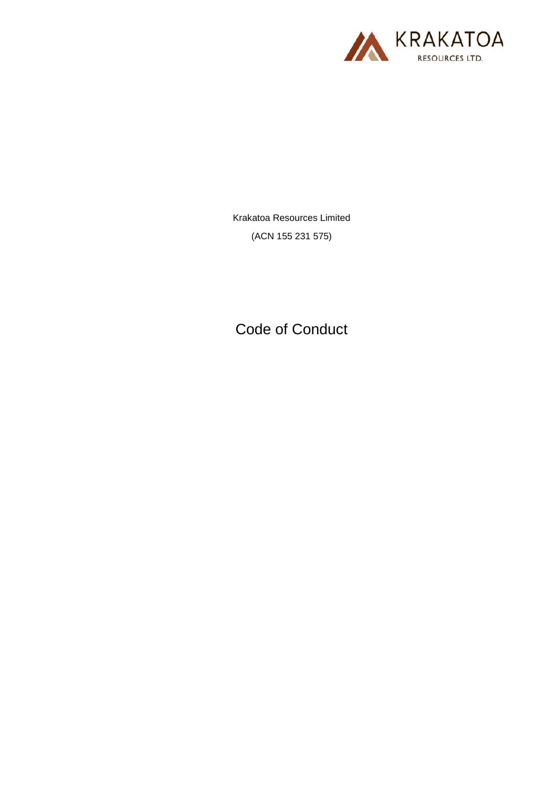

Krakatoa Resources Limited (ACN 155 231 575)

Code of Conduct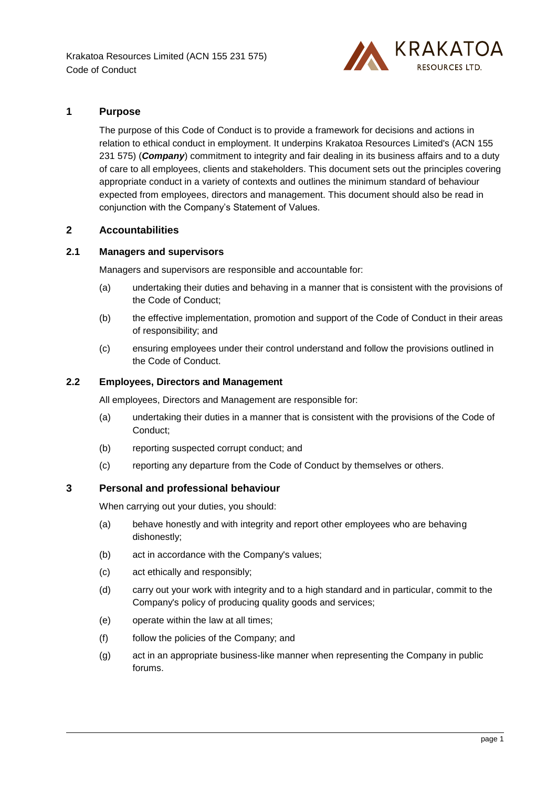

## **1 Purpose**

The purpose of this Code of Conduct is to provide a framework for decisions and actions in relation to ethical conduct in employment. It underpins Krakatoa Resources Limited's (ACN 155 231 575) (**Company**) commitment to integrity and fair dealing in its business affairs and to a duty of care to all employees, clients and stakeholders. This document sets out the principles covering appropriate conduct in a variety of contexts and outlines the minimum standard of behaviour expected from employees, directors and management. This document should also be read in conjunction with the Company's Statement of Values.

### **2 Accountabilities**

## **2.1 Managers and supervisors**

Managers and supervisors are responsible and accountable for:

- (a) undertaking their duties and behaving in a manner that is consistent with the provisions of the Code of Conduct;
- (b) the effective implementation, promotion and support of the Code of Conduct in their areas of responsibility; and
- (c) ensuring employees under their control understand and follow the provisions outlined in the Code of Conduct.

### **2.2 Employees, Directors and Management**

All employees, Directors and Management are responsible for:

- (a) undertaking their duties in a manner that is consistent with the provisions of the Code of Conduct;
- (b) reporting suspected corrupt conduct; and
- (c) reporting any departure from the Code of Conduct by themselves or others.

#### **3 Personal and professional behaviour**

When carrying out your duties, you should:

- (a) behave honestly and with integrity and report other employees who are behaving dishonestly;
- (b) act in accordance with the Company's values;
- (c) act ethically and responsibly;
- (d) carry out your work with integrity and to a high standard and in particular, commit to the Company's policy of producing quality goods and services;
- (e) operate within the law at all times;
- (f) follow the policies of the Company; and
- (g) act in an appropriate business-like manner when representing the Company in public forums.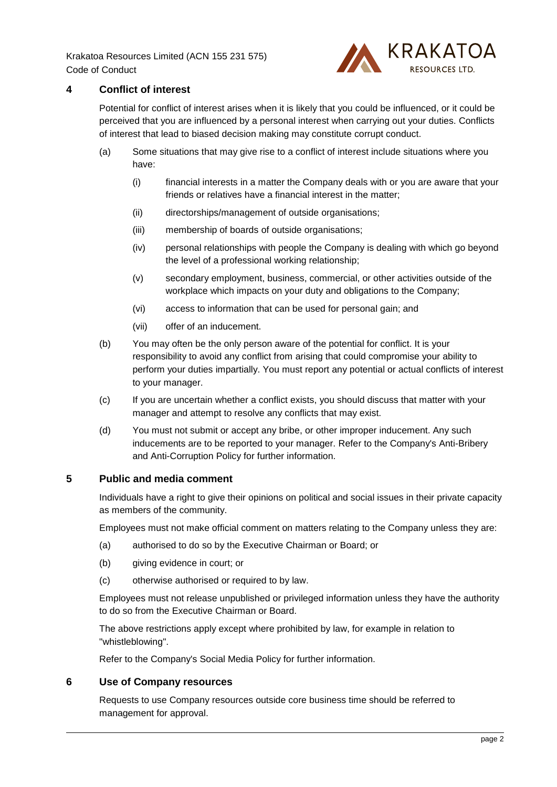Krakatoa Resources Limited (ACN 155 231 575) Code of Conduct



# **4 Conflict of interest**

Potential for conflict of interest arises when it is likely that you could be influenced, or it could be perceived that you are influenced by a personal interest when carrying out your duties. Conflicts of interest that lead to biased decision making may constitute corrupt conduct.

- (a) Some situations that may give rise to a conflict of interest include situations where you have:
	- (i) financial interests in a matter the Company deals with or you are aware that your friends or relatives have a financial interest in the matter;
	- (ii) directorships/management of outside organisations;
	- (iii) membership of boards of outside organisations;
	- (iv) personal relationships with people the Company is dealing with which go beyond the level of a professional working relationship;
	- (v) secondary employment, business, commercial, or other activities outside of the workplace which impacts on your duty and obligations to the Company;
	- (vi) access to information that can be used for personal gain; and
	- (vii) offer of an inducement.
- (b) You may often be the only person aware of the potential for conflict. It is your responsibility to avoid any conflict from arising that could compromise your ability to perform your duties impartially. You must report any potential or actual conflicts of interest to your manager.
- (c) If you are uncertain whether a conflict exists, you should discuss that matter with your manager and attempt to resolve any conflicts that may exist.
- (d) You must not submit or accept any bribe, or other improper inducement. Any such inducements are to be reported to your manager. Refer to the Company's Anti-Bribery and Anti-Corruption Policy for further information.

### **5 Public and media comment**

Individuals have a right to give their opinions on political and social issues in their private capacity as members of the community.

Employees must not make official comment on matters relating to the Company unless they are:

- (a) authorised to do so by the Executive Chairman or Board; or
- (b) giving evidence in court; or
- (c) otherwise authorised or required to by law.

Employees must not release unpublished or privileged information unless they have the authority to do so from the Executive Chairman or Board.

The above restrictions apply except where prohibited by law, for example in relation to "whistleblowing".

Refer to the Company's Social Media Policy for further information.

## **6 Use of Company resources**

Requests to use Company resources outside core business time should be referred to management for approval.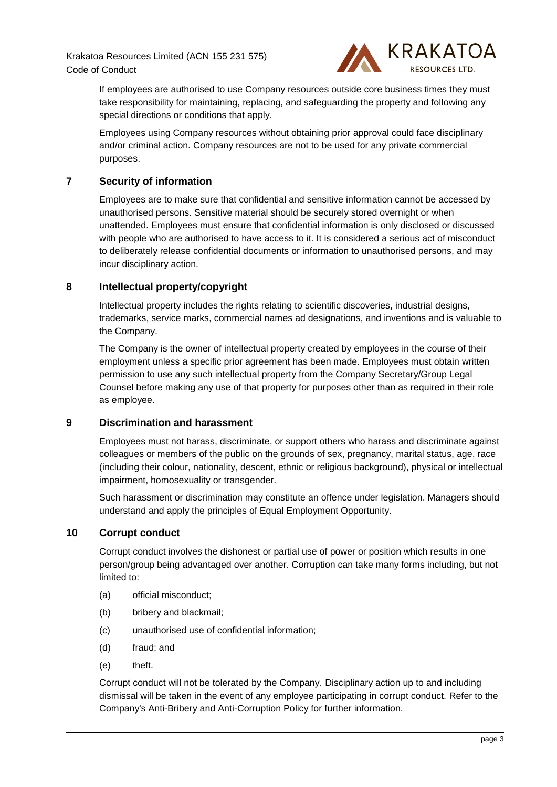Krakatoa Resources Limited (ACN 155 231 575) Code of Conduct



If employees are authorised to use Company resources outside core business times they must take responsibility for maintaining, replacing, and safeguarding the property and following any special directions or conditions that apply.

Employees using Company resources without obtaining prior approval could face disciplinary and/or criminal action. Company resources are not to be used for any private commercial purposes.

## **7 Security of information**

Employees are to make sure that confidential and sensitive information cannot be accessed by unauthorised persons. Sensitive material should be securely stored overnight or when unattended. Employees must ensure that confidential information is only disclosed or discussed with people who are authorised to have access to it. It is considered a serious act of misconduct to deliberately release confidential documents or information to unauthorised persons, and may incur disciplinary action.

### **8 Intellectual property/copyright**

Intellectual property includes the rights relating to scientific discoveries, industrial designs, trademarks, service marks, commercial names ad designations, and inventions and is valuable to the Company.

The Company is the owner of intellectual property created by employees in the course of their employment unless a specific prior agreement has been made. Employees must obtain written permission to use any such intellectual property from the Company Secretary/Group Legal Counsel before making any use of that property for purposes other than as required in their role as employee.

#### **9 Discrimination and harassment**

Employees must not harass, discriminate, or support others who harass and discriminate against colleagues or members of the public on the grounds of sex, pregnancy, marital status, age, race (including their colour, nationality, descent, ethnic or religious background), physical or intellectual impairment, homosexuality or transgender.

Such harassment or discrimination may constitute an offence under legislation. Managers should understand and apply the principles of Equal Employment Opportunity.

#### **10 Corrupt conduct**

Corrupt conduct involves the dishonest or partial use of power or position which results in one person/group being advantaged over another. Corruption can take many forms including, but not limited to:

- (a) official misconduct;
- (b) bribery and blackmail;
- (c) unauthorised use of confidential information;
- (d) fraud; and
- (e) theft.

Corrupt conduct will not be tolerated by the Company. Disciplinary action up to and including dismissal will be taken in the event of any employee participating in corrupt conduct. Refer to the Company's Anti-Bribery and Anti-Corruption Policy for further information.